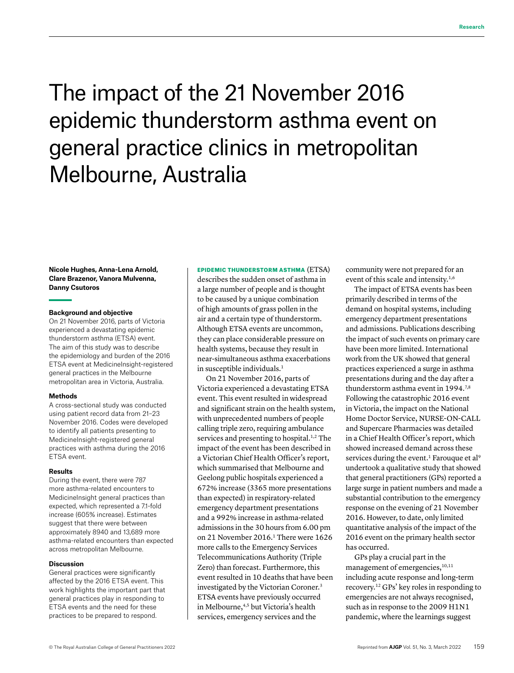# **Research**

# The impact of the 21 November 2016 epidemic thunderstorm asthma event on general practice clinics in metropolitan Melbourne, Australia

#### **Nicole Hughes, Anna-Lena Arnold, Clare Brazenor, Vanora Mulvenna, Danny Csutoros**

#### **Background and objective**

On 21 November 2016, parts of Victoria experienced a devastating epidemic thunderstorm asthma (ETSA) event. The aim of this study was to describe the epidemiology and burden of the 2016 ETSA event at MedicineInsight-registered general practices in the Melbourne metropolitan area in Victoria, Australia.

#### **Methods**

A cross-sectional study was conducted using patient record data from 21–23 November 2016. Codes were developed to identify all patients presenting to MedicineInsight-registered general practices with asthma during the 2016 ETSA event.

#### **Results**

During the event, there were 787 more asthma-related encounters to MedicineInsight general practices than expected, which represented a 7.1-fold increase (605% increase). Estimates suggest that there were between approximately 8940 and 13,689 more asthma-related encounters than expected across metropolitan Melbourne.

#### **Discussion**

General practices were significantly affected by the 2016 ETSA event. This work highlights the important part that general practices play in responding to ETSA events and the need for these practices to be prepared to respond.

EPIDEMIC THUNDERSTORM ASTHMA (ETSA)

describes the sudden onset of asthma in a large number of people and is thought to be caused by a unique combination of high amounts of grass pollen in the air and a certain type of thunderstorm. Although ETSA events are uncommon, they can place considerable pressure on health systems, because they result in near-simultaneous asthma exacerbations in susceptible individuals.<sup>1</sup>

On 21 November 2016, parts of Victoria experienced a devastating ETSA event. This event resulted in widespread and significant strain on the health system, with unprecedented numbers of people calling triple zero, requiring ambulance services and presenting to hospital.<sup>1,2</sup> The impact of the event has been described in a Victorian Chief Health Officer's report, which summarised that Melbourne and Geelong public hospitals experienced a 672% increase (3365 more presentations than expected) in respiratory-related emergency department presentations and a 992% increase in asthma-related admissions in the 30 hours from 6.00 pm on 21 November 2016.<sup>1</sup> There were 1626 more calls to the Emergency Services Telecommunications Authority (Triple Zero) than forecast. Furthermore, this event resulted in 10 deaths that have been investigated by the Victorian Coroner.3 ETSA events have previously occurred in Melbourne,<sup>4,5</sup> but Victoria's health services, emergency services and the

community were not prepared for an event of this scale and intensity.<sup>1,6</sup>

The impact of ETSA events has been primarily described in terms of the demand on hospital systems, including emergency department presentations and admissions. Publications describing the impact of such events on primary care have been more limited. International work from the UK showed that general practices experienced a surge in asthma presentations during and the day after a thunderstorm asthma event in 1994.7,8 Following the catastrophic 2016 event in Victoria, the impact on the National Home Doctor Service, NURSE-ON-CALL and Supercare Pharmacies was detailed in a Chief Health Officer's report, which showed increased demand across these services during the event.<sup>1</sup> Farouque et al<sup>9</sup> undertook a qualitative study that showed that general practitioners (GPs) reported a large surge in patient numbers and made a substantial contribution to the emergency response on the evening of 21 November 2016. However, to date, only limited quantitative analysis of the impact of the 2016 event on the primary health sector has occurred.

GPs play a crucial part in the management of emergencies,<sup>10,11</sup> including acute response and long-term recovery.12 GPs' key roles in responding to emergencies are not always recognised, such as in response to the 2009 H1N1 pandemic, where the learnings suggest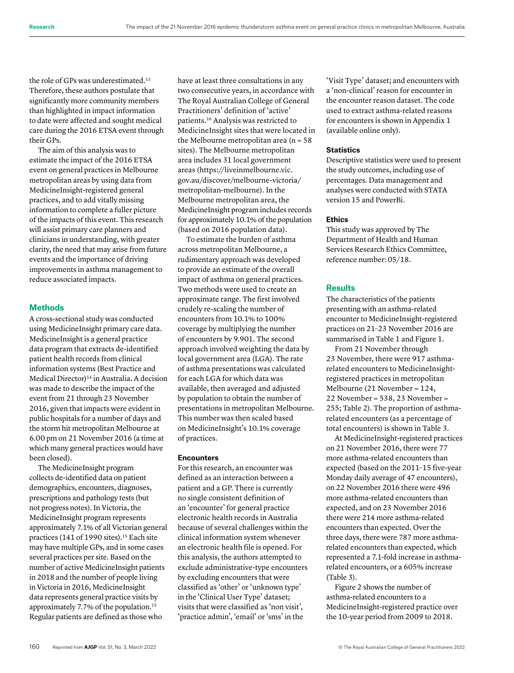the role of GPs was underestimated.<sup>13</sup> Therefore, these authors postulate that significantly more community members than highlighted in impact information to date were affected and sought medical care during the 2016 ETSA event through their GPs.

The aim of this analysis was to estimate the impact of the 2016 ETSA event on general practices in Melbourne metropolitan areas by using data from MedicineInsight-registered general practices, and to add vitally missing information to complete a fuller picture of the impacts of this event. This research will assist primary care planners and clinicians in understanding, with greater clarity, the need that may arise from future events and the importance of driving improvements in asthma management to reduce associated impacts.

#### **Methods**

A cross-sectional study was conducted using MedicineInsight primary care data. MedicineInsight is a general practice data program that extracts de-identified patient health records from clinical information systems (Best Practice and Medical Director)<sup>14</sup> in Australia. A decision was made to describe the impact of the event from 21 through 23 November 2016, given that impacts were evident in public hospitals for a number of days and the storm hit metropolitan Melbourne at 6.00 pm on 21 November 2016 (a time at which many general practices would have been closed).

The MedicineInsight program collects de-identified data on patient demographics, encounters, diagnoses, prescriptions and pathology tests (but not progress notes). In Victoria, the MedicineInsight program represents approximately 7.1% of all Victorian general practices (141 of 1990 sites).<sup>15</sup> Each site may have multiple GPs, and in some cases several practices per site. Based on the number of active MedicineInsight patients in 2018 and the number of people living in Victoria in 2016, MedicineInsight data represents general practice visits by approximately 7.7% of the population.15 Regular patients are defined as those who

have at least three consultations in any two consecutive years, in accordance with The Royal Australian College of General Practitioners' definition of 'active' patients.16 Analysis was restricted to MedicineInsight sites that were located in the Melbourne metropolitan area ( $n = 58$ sites). The Melbourne metropolitan area includes 31 local government areas [\(https://liveinmelbourne.vic.](https://liveinmelbourne.vic.gov.au/discover/melbourne-victoria/metropolitan-melbourne) [gov.au/discover/melbourne-victoria/](https://liveinmelbourne.vic.gov.au/discover/melbourne-victoria/metropolitan-melbourne) [metropolitan-melbourne\)](https://liveinmelbourne.vic.gov.au/discover/melbourne-victoria/metropolitan-melbourne). In the Melbourne metropolitan area, the MedicineInsight program includes records for approximately 10.1% of the population (based on 2016 population data).

To estimate the burden of asthma across metropolitan Melbourne, a rudimentary approach was developed to provide an estimate of the overall impact of asthma on general practices. Two methods were used to create an approximate range. The first involved crudely re-scaling the number of encounters from 10.1% to 100% coverage by multiplying the number of encounters by 9.901. The second approach involved weighting the data by local government area (LGA). The rate of asthma presentations was calculated for each LGA for which data was available, then averaged and adjusted by population to obtain the number of presentations in metropolitan Melbourne. This number was then scaled based on MedicineInsight's 10.1% coverage of practices.

### **Encounters**

For this research, an encounter was defined as an interaction between a patient and a GP. There is currently no single consistent definition of an 'encounter' for general practice electronic health records in Australia because of several challenges within the clinical information system whenever an electronic health file is opened. For this analysis, the authors attempted to exclude administrative-type encounters by excluding encounters that were classified as 'other' or 'unknown type' in the 'Clinical User Type' dataset; visits that were classified as 'non visit', 'practice admin', 'email' or 'sms' in the

'Visit Type' dataset; and encounters with a 'non-clinical' reason for encounter in the encounter reason dataset. The code used to extract asthma-related reasons for encounters is shown in Appendix 1 (available online only).

#### **Statistics**

Descriptive statistics were used to present the study outcomes, including use of percentages. Data management and analyses were conducted with STATA version 15 and PowerBi.

#### **Ethics**

This study was approved by The Department of Health and Human Services Research Ethics Committee, reference number: 05/18.

#### **Results**

The characteristics of the patients presenting with an asthma-related encounter to MedicineInsight-registered practices on 21–23 November 2016 are summarised in Table 1 and Figure 1.

From 21 November through 23 November, there were 917 asthmarelated encounters to MedicineInsightregistered practices in metropolitan Melbourne (21 November = 124, 22 November = 538, 23 November = 255; Table 2). The proportion of asthmarelated encounters (as a percentage of total encounters) is shown in Table 3.

At MedicineInsight-registered practices on 21 November 2016, there were 77 more asthma-related encounters than expected (based on the 2011–15 five-year Monday daily average of 47 encounters), on 22 November 2016 there were 496 more asthma-related encounters than expected, and on 23 November 2016 there were 214 more asthma-related encounters than expected. Over the three days, there were 787 more asthmarelated encounters than expected, which represented a 7.1-fold increase in asthmarelated encounters, or a 605% increase (Table 3).

Figure 2 shows the number of asthma-related encounters to a MedicineInsight-registered practice over the 10-year period from 2009 to 2018.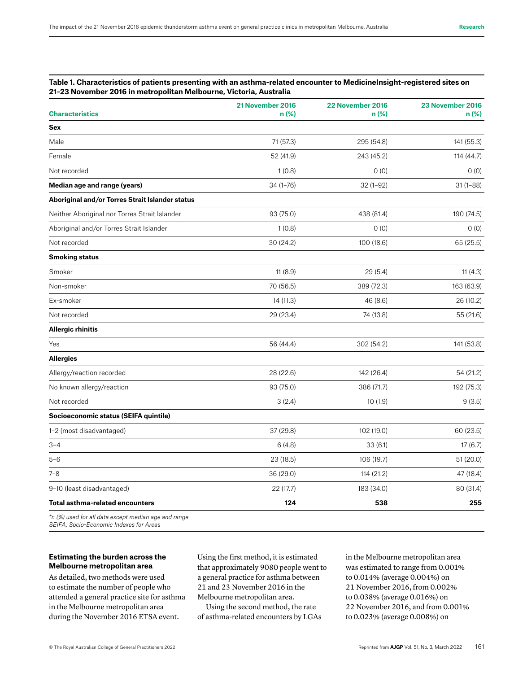#### **Table 1. Characteristics of patients presenting with an asthma-related encounter to MedicineInsight-registered sites on 21–23 November 2016 in metropolitan Melbourne, Victoria, Australia**

| <b>Characteristics</b>                               | 21 November 2016<br>$n$ (%) | 22 November 2016<br>n (%) | 23 November 2016<br>n (%) |
|------------------------------------------------------|-----------------------------|---------------------------|---------------------------|
| <b>Sex</b>                                           |                             |                           |                           |
| Male                                                 | 71 (57.3)                   | 295 (54.8)                | 141 (55.3)                |
| Female                                               | 52 (41.9)                   | 243 (45.2)                | 114 (44.7)                |
| Not recorded                                         | 1(0.8)                      | 0(0)                      | 0(0)                      |
| Median age and range (years)                         | $34(1 - 76)$                | $32(1-92)$                | $31(1 - 88)$              |
| Aboriginal and/or Torres Strait Islander status      |                             |                           |                           |
| Neither Aboriginal nor Torres Strait Islander        | 93 (75.0)                   | 438 (81.4)                | 190 (74.5)                |
| Aboriginal and/or Torres Strait Islander             | 1(0.8)                      | 0(0)                      | 0(0)                      |
| Not recorded                                         | 30 (24.2)                   | 100 (18.6)                | 65 (25.5)                 |
| <b>Smoking status</b>                                |                             |                           |                           |
| Smoker                                               | 11(8.9)                     | 29(5.4)                   | 11(4.3)                   |
| Non-smoker                                           | 70 (56.5)                   | 389 (72.3)                | 163 (63.9)                |
| Ex-smoker                                            | 14 (11.3)                   | 46 (8.6)                  | 26 (10.2)                 |
| Not recorded                                         | 29 (23.4)                   | 74 (13.8)                 | 55 (21.6)                 |
| <b>Allergic rhinitis</b>                             |                             |                           |                           |
| Yes                                                  | 56 (44.4)                   | 302 (54.2)                | 141 (53.8)                |
| <b>Allergies</b>                                     |                             |                           |                           |
| Allergy/reaction recorded                            | 28 (22.6)                   | 142 (26.4)                | 54 (21.2)                 |
| No known allergy/reaction                            | 93 (75.0)                   | 386 (71.7)                | 192 (75.3)                |
| Not recorded                                         | 3(2.4)                      | 10(1.9)                   | 9(3.5)                    |
| Socioeconomic status (SEIFA quintile)                |                             |                           |                           |
| 1-2 (most disadvantaged)                             | 37 (29.8)                   | 102 (19.0)                | 60 (23.5)                 |
| $3 - 4$                                              | 6(4.8)                      | 33(6.1)                   | 17(6.7)                   |
| $5 - 6$                                              | 23 (18.5)                   | 106 (19.7)                | 51 (20.0)                 |
| $7 - 8$                                              | 36 (29.0)                   | 114 (21.2)                | 47 (18.4)                 |
| 9-10 (least disadvantaged)                           | 22(17.7)                    | 183 (34.0)                | 80 (31.4)                 |
| <b>Total asthma-related encounters</b>               | 124                         | 538                       | 255                       |
| *n (%) used for all data except median age and range |                             |                           |                           |

*SEIFA, Socio-Economic Indexes for Areas*

# **Estimating the burden across the Melbourne metropolitan area**

As detailed, two methods were used to estimate the number of people who attended a general practice site for asthma in the Melbourne metropolitan area during the November 2016 ETSA event.

Using the first method, it is estimated that approximately 9080 people went to a general practice for asthma between 21 and 23 November 2016 in the Melbourne metropolitan area.

Using the second method, the rate of asthma-related encounters by LGAs in the Melbourne metropolitan area was estimated to range from 0.001% to 0.014% (average 0.004%) on 21 November 2016, from 0.002% to 0.038% (average 0.016%) on 22 November 2016, and from 0.001% to 0.023% (average 0.008%) on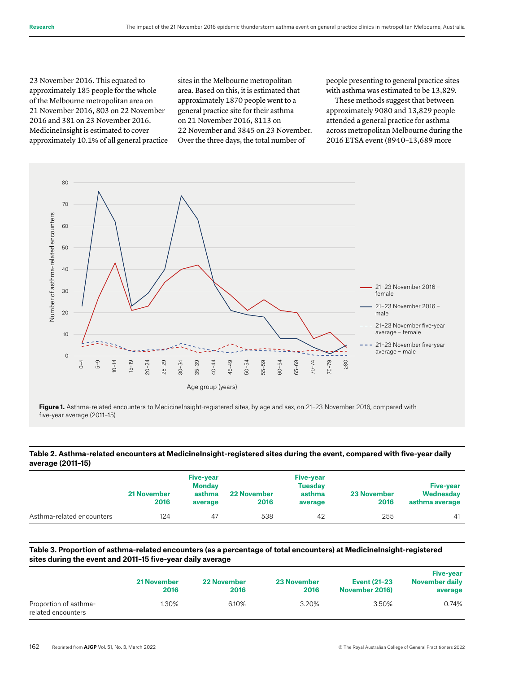23 November 2016. This equated to approximately 185 people for the whole of the Melbourne metropolitan area on 21 November 2016, 803 on 22 November 2016 and 381 on 23 November 2016. MedicineInsight is estimated to cover approximately 10.1% of all general practice sites in the Melbourne metropolitan area. Based on this, it is estimated that approximately 1870 people went to a general practice site for their asthma on 21 November 2016, 8113 on 22 November and 3845 on 23 November. Over the three days, the total number of

people presenting to general practice sites with asthma was estimated to be 13,829.

These methods suggest that between approximately 9080 and 13,829 people attended a general practice for asthma across metropolitan Melbourne during the 2016 ETSA event (8940–13,689 more



Figure 1. Asthma-related encounters to MedicineInsight-registered sites, by age and sex, on 21-23 November 2016, compared with five-year average (2011–15)

# **Table 2. Asthma-related encounters at MedicineInsight-registered sites during the event, compared with five-year daily average (2011–15)**

|                           | <b>21 November</b><br>2016 | <b>Five-year</b><br><b>Monday</b><br>asthma<br>average | <b>22 November</b><br>2016 | <b>Five-year</b><br><b>Tuesday</b><br>asthma<br>average | <b>23 November</b><br>2016 | <b>Five-year</b><br>Wednesday<br>asthma average |
|---------------------------|----------------------------|--------------------------------------------------------|----------------------------|---------------------------------------------------------|----------------------------|-------------------------------------------------|
| Asthma-related encounters | 124                        | 47                                                     | 538                        | 42                                                      | 255                        | 41                                              |

#### **Table 3. Proportion of asthma-related encounters (as a percentage of total encounters) at MedicineInsight-registered sites during the event and 2011–15 five-year daily average**

|                                             | <b>21 November</b><br>2016 | <b>22 November</b><br>2016 | <b>23 November</b><br>2016 | <b>Event (21-23)</b><br>November 2016) | <b>Five-year</b><br>November daily<br>average |
|---------------------------------------------|----------------------------|----------------------------|----------------------------|----------------------------------------|-----------------------------------------------|
| Proportion of asthma-<br>related encounters | 1.30%                      | 6.10%                      | 3.20%                      | 3.50%                                  | 0.74%                                         |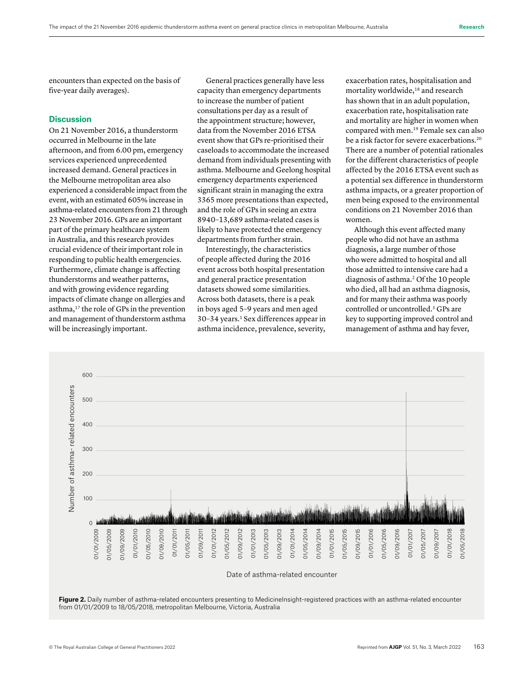encounters than expected on the basis of five-year daily averages).

# **Discussion**

On 21 November 2016, a thunderstorm occurred in Melbourne in the late afternoon, and from 6.00 pm, emergency services experienced unprecedented increased demand. General practices in the Melbourne metropolitan area also experienced a considerable impact from the event, with an estimated 605% increase in asthma-related encounters from 21 through 23 November 2016. GPs are an important part of the primary healthcare system in Australia, and this research provides crucial evidence of their important role in responding to public health emergencies. Furthermore, climate change is affecting thunderstorms and weather patterns, and with growing evidence regarding impacts of climate change on allergies and asthma,17 the role of GPs in the prevention and management of thunderstorm asthma will be increasingly important.

General practices generally have less capacity than emergency departments to increase the number of patient consultations per day as a result of the appointment structure; however, data from the November 2016 ETSA event show that GPs re-prioritised their caseloads to accommodate the increased demand from individuals presenting with asthma. Melbourne and Geelong hospital emergency departments experienced significant strain in managing the extra 3365 more presentations than expected, and the role of GPs in seeing an extra 8940–13,689 asthma-related cases is likely to have protected the emergency departments from further strain.

Interestingly, the characteristics of people affected during the 2016 event across both hospital presentation and general practice presentation datasets showed some similarities. Across both datasets, there is a peak in boys aged 5–9 years and men aged 30–34 years.1 Sex differences appear in asthma incidence, prevalence, severity,

exacerbation rates, hospitalisation and mortality worldwide,<sup>18</sup> and research has shown that in an adult population, exacerbation rate, hospitalisation rate and mortality are higher in women when compared with men.19 Female sex can also be a risk factor for severe exacerbations.<sup>20</sup> There are a number of potential rationales for the different characteristics of people affected by the 2016 ETSA event such as a potential sex difference in thunderstorm asthma impacts, or a greater proportion of men being exposed to the environmental conditions on 21 November 2016 than women.

Although this event affected many people who did not have an asthma diagnosis, a large number of those who were admitted to hospital and all those admitted to intensive care had a diagnosis of asthma.2 Of the 10 people who died, all had an asthma diagnosis, and for many their asthma was poorly controlled or uncontrolled.3 GPs are key to supporting improved control and management of asthma and hay fever,



Figure 2. Daily number of asthma-related encounters presenting to MedicineInsight-registered practices with an asthma-related encounter from 01/01/2009 to 18/05/2018, metropolitan Melbourne, Victoria, Australia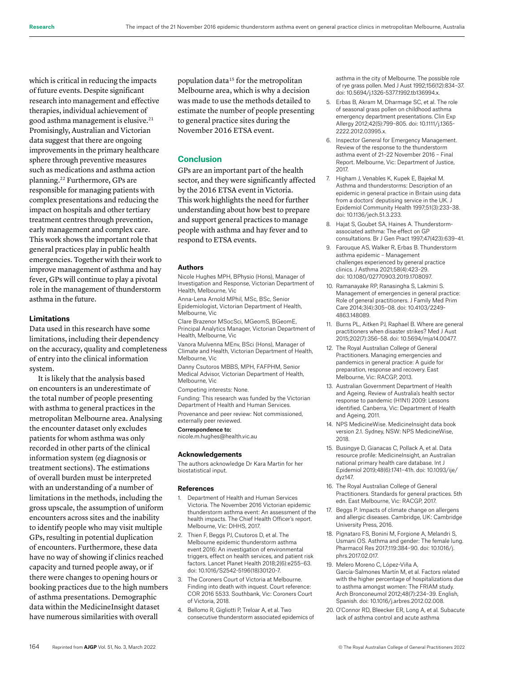which is critical in reducing the impacts of future events. Despite significant research into management and effective therapies, individual achievement of good asthma management is elusive.<sup>21</sup> Promisingly, Australian and Victorian data suggest that there are ongoing improvements in the primary healthcare sphere through preventive measures such as medications and asthma action planning.22 Furthermore, GPs are responsible for managing patients with complex presentations and reducing the impact on hospitals and other tertiary treatment centres through prevention, early management and complex care. This work shows the important role that general practices play in public health emergencies. Together with their work to improve management of asthma and hay fever, GPs will continue to play a pivotal role in the management of thunderstorm asthma in the future.

#### **Limitations**

Data used in this research have some limitations, including their dependency on the accuracy, quality and completeness of entry into the clinical information system.

It is likely that the analysis based on encounters is an underestimate of the total number of people presenting with asthma to general practices in the metropolitan Melbourne area. Analysing the encounter dataset only excludes patients for whom asthma was only recorded in other parts of the clinical information system (eg diagnosis or treatment sections). The estimations of overall burden must be interpreted with an understanding of a number of limitations in the methods, including the gross upscale, the assumption of uniform encounters across sites and the inability to identify people who may visit multiple GPs, resulting in potential duplication of encounters. Furthermore, these data have no way of showing if clinics reached capacity and turned people away, or if there were changes to opening hours or booking practices due to the high numbers of asthma presentations. Demographic data within the MedicineInsight dataset have numerous similarities with overall

population data15 for the metropolitan Melbourne area, which is why a decision was made to use the methods detailed to estimate the number of people presenting to general practice sites during the November 2016 ETSA event.

# **Conclusion**

GPs are an important part of the health sector, and they were significantly affected by the 2016 ETSA event in Victoria. This work highlights the need for further understanding about how best to prepare and support general practices to manage people with asthma and hay fever and to respond to ETSA events.

#### **Authors**

Nicole Hughes MPH, BPhysio (Hons), Manager of Investigation and Response, Victorian Department of Health, Melbourne, Vic

Anna-Lena Arnold MPhil, MSc, BSc, Senior Epidemiologist, Victorian Department of Health, Melbourne, Vic

Clare Brazenor MSocSci, MGeomS, BGeomE, Principal Analytics Manager, Victorian Department of Health, Melbourne, Vic

Vanora Mulvenna MEnv, BSci (Hons), Manager of Climate and Health, Victorian Department of Health, Melbourne, Vic

Danny Csutoros MBBS, MPH, FAFPHM, Senior Medical Advisor, Victorian Department of Health, Melbourne, Vic

Competing interests: None.

Funding: This research was funded by the Victorian Department of Health and Human Services.

Provenance and peer review: Not commissioned, externally peer reviewed.

#### Correspondence to:

nicole.m.hughes@health.vic.au

#### **Acknowledgements**

The authors acknowledge Dr Kara Martin for her biostatistical input.

#### **References**

- 1. Department of Health and Human Services Victoria. The November 2016 Victorian epidemic thunderstorm asthma event: An assessment of the health impacts. The Chief Health Officer's report. Melbourne, Vic: DHHS, 2017.
- 2. Thien F, Beggs PJ, Csutoros D, et al. The Melbourne epidemic thunderstorm asthma event 2016: An investigation of environmental triggers, effect on health services, and patient risk factors. Lancet Planet Health 2018;2(6):e255–63. doi: 10.1016/S2542-5196(18)30120-7.
- 3. The Coroners Court of Victoria at Melbourne. Finding into death with inquest. Court reference: COR 2016 5533. Southbank, Vic: Coroners Court of Victoria, 2018.
- 4. Bellomo R, Gigliotti P, Treloar A, et al. Two consecutive thunderstorm associated epidemics of

asthma in the city of Melbourne. The possible role of rye grass pollen. Med J Aust 1992;156(12):834–37. doi: 10.5694/j.1326-5377.1992.tb136994.x.

- 5. Erbas B, Akram M, Dharmage SC, et al. The role of seasonal grass pollen on childhood asthma emergency department presentations. Clin Exp Allergy 2012;42(5):799–805. doi: 10.1111/j.1365- 2222.2012.03995.x.
- 6. Inspector General for Emergency Management. Review of the response to the thunderstorm asthma event of 21–22 November 2016 – Final Report. Melbourne, Vic: Department of Justice, 2017.
- 7. Higham J, Venables K, Kupek E, Bajekal M. Asthma and thunderstorms: Description of an epidemic in general practice in Britain using data from a doctors' deputising service in the UK. J Epidemiol Community Health 1997;51(3):233–38. doi: 10.1136/jech.51.3.233.
- 8. Hajat S, Goubet SA, Haines A. Thunderstormassociated asthma: The effect on GP consultations. Br J Gen Pract 1997;47(423):639–41.
- 9. Farouque AS, Walker R, Erbas B. Thunderstorm asthma epidemic – Management challenges experienced by general practice clinics. J Asthma 2021;58(4):423–29. doi: 10.1080/02770903.2019.1708097.
- 10. Ramanayake RP, Ranasingha S, Lakmini S. Management of emergencies in general practice: Role of general practitioners. J Family Med Prim Care 2014;3(4):305–08. doi: 10.4103/2249- 4863.148089.
- 11. Burns PL, Aitken PJ, Raphael B. Where are general practitioners when disaster strikes? Med J Aust 2015;202(7):356–58. doi: 10.5694/mja14.00477.
- 12. The Royal Australian College of General Practitioners. Managing emergencies and pandemics in general practice: A guide for preparation, response and recovery. East Melbourne, Vic: RACGP, 2013.
- 13. Australian Government Department of Health and Ageing. Review of Australia's health sector response to pandemic (H1N1) 2009: Lessons identified. Canberra, Vic: Department of Health and Ageing, 2011.
- 14. NPS MedicineWise. MedicineInsight data book version 2.1. Sydney, NSW: NPS MedicineWise, 2018.
- 15. Busingye D, Gianacas C, Pollack A, et al. Data resource profile: MedicineInsight, an Australian national primary health care database. Int J Epidemiol 2019;48(6):1741–41h. doi: 10.1093/ije/ dyz147.
- 16. The Royal Australian College of General Practitioners. Standards for general practices. 5th edn. East Melbourne, Vic: RACGP, 2017.
- 17. Beggs P. Impacts of climate change on allergens and allergic diseases. Cambridge, UK: Cambridge University Press, 2016.
- 18. Pignataro FS, Bonini M, Forgione A, Melandri S, Usmani OS. Asthma and gender: The female lung. Pharmacol Res 2017;119:384–90. doi: 10.1016/j. phrs.2017.02.017.
- 19. Melero Moreno C, López-Viña A, García-Salmones Martín M, et al. Factors related with the higher percentage of hospitalizations due to asthma amongst women: The FRIAM study. Arch Bronconeumol 2012;48(7):234–39. English, Spanish. doi: 10.1016/j.arbres.2012.02.008.
- 20. O'Connor RD, Bleecker ER, Long A, et al. Subacute lack of asthma control and acute asthma